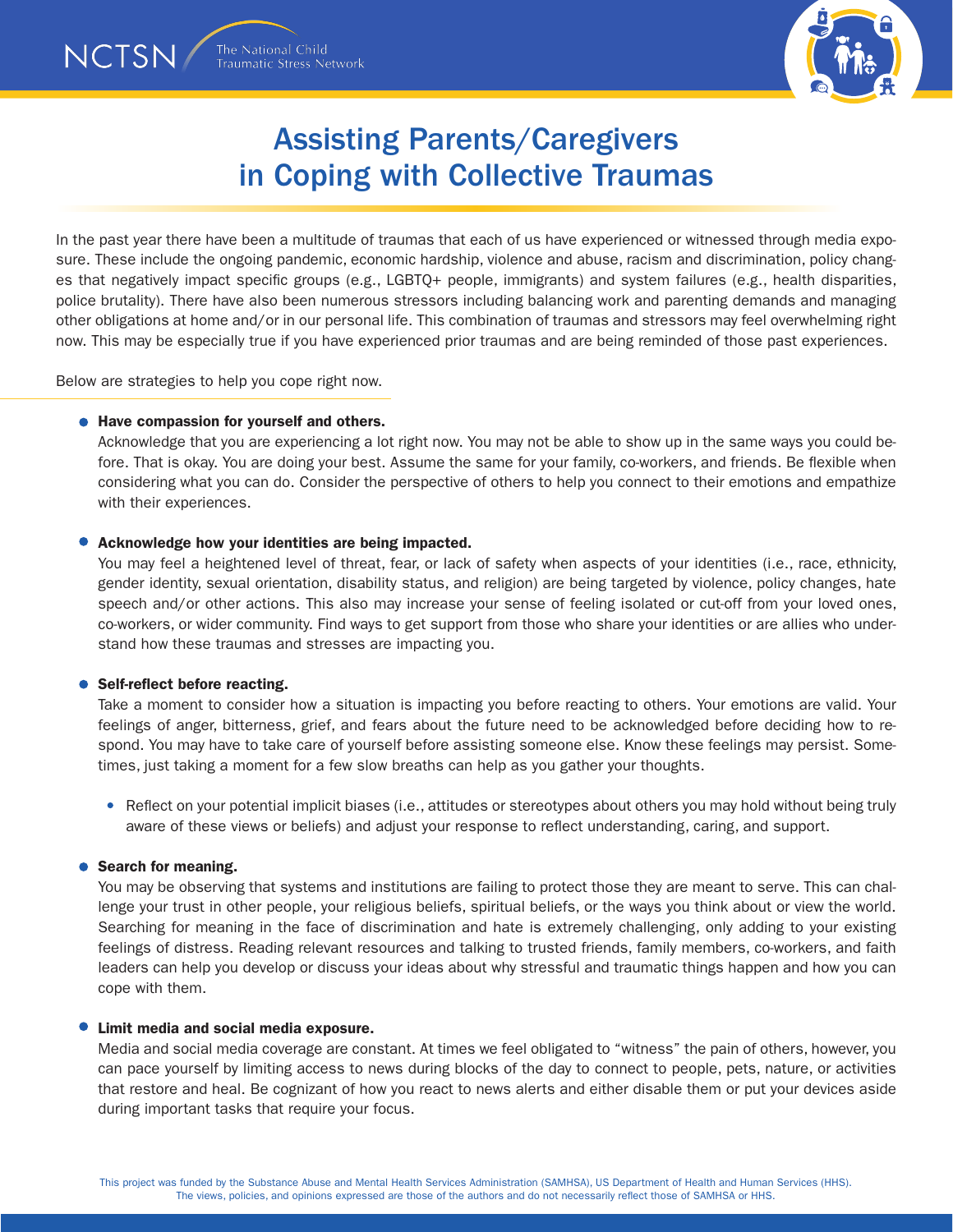In the past year there have been a multitude of traumas that each of us have experienced or witnessed through media exposure. These include the ongoing pandemic, economic hardship, violence and abuse, racism and discrimination, policy changes that negatively impact specific groups (e.g., LGBTQ+ people, immigrants) and system failures (e.g., health disparities, police brutality). There have also been numerous stressors including balancing work and parenting demands and managing other obligations at home and/or in our personal life. This combination of traumas and stressors may feel overwhelming right now. This may be especially true if you have experienced prior traumas and are being reminded of those past experiences.

Below are strategies to help you cope right now.

# ● Have compassion for yourself and others.

Acknowledge that you are experiencing a lot right now. You may not be able to show up in the same ways you could before. That is okay. You are doing your best. Assume the same for your family, co-workers, and friends. Be flexible when considering what you can do. Consider the perspective of others to help you connect to their emotions and empathize with their experiences.

# Acknowledge how your identities are being impacted.

The National Child

**Traumatic Stress Network** 

NCTSN/

You may feel a heightened level of threat, fear, or lack of safety when aspects of your identities (i.e., race, ethnicity, gender identity, sexual orientation, disability status, and religion) are being targeted by violence, policy changes, hate speech and/or other actions. This also may increase your sense of feeling isolated or cut-off from your loved ones, co-workers, or wider community. Find ways to get support from those who share your identities or are allies who understand how these traumas and stresses are impacting you.

### • Self-reflect before reacting.

Take a moment to consider how a situation is impacting you before reacting to others. Your emotions are valid. Your feelings of anger, bitterness, grief, and fears about the future need to be acknowledged before deciding how to respond. You may have to take care of yourself before assisting someone else. Know these feelings may persist. Sometimes, just taking a moment for a few slow breaths can help as you gather your thoughts.

• Reflect on your potential implicit biases (i.e., attitudes or stereotypes about others you may hold without being truly aware of these views or beliefs) and adjust your response to reflect understanding, caring, and support.

### ● Search for meaning.

You may be observing that systems and institutions are failing to protect those they are meant to serve. This can challenge your trust in other people, your religious beliefs, spiritual beliefs, or the ways you think about or view the world. Searching for meaning in the face of discrimination and hate is extremely challenging, only adding to your existing feelings of distress. Reading relevant resources and talking to trusted friends, family members, co-workers, and faith leaders can help you develop or discuss your ideas about why stressful and traumatic things happen and how you can cope with them.

### Limit media and social media exposure.

Media and social media coverage are constant. At times we feel obligated to "witness" the pain of others, however, you can pace yourself by limiting access to news during blocks of the day to connect to people, pets, nature, or activities that restore and heal. Be cognizant of how you react to news alerts and either disable them or put your devices aside during important tasks that require your focus.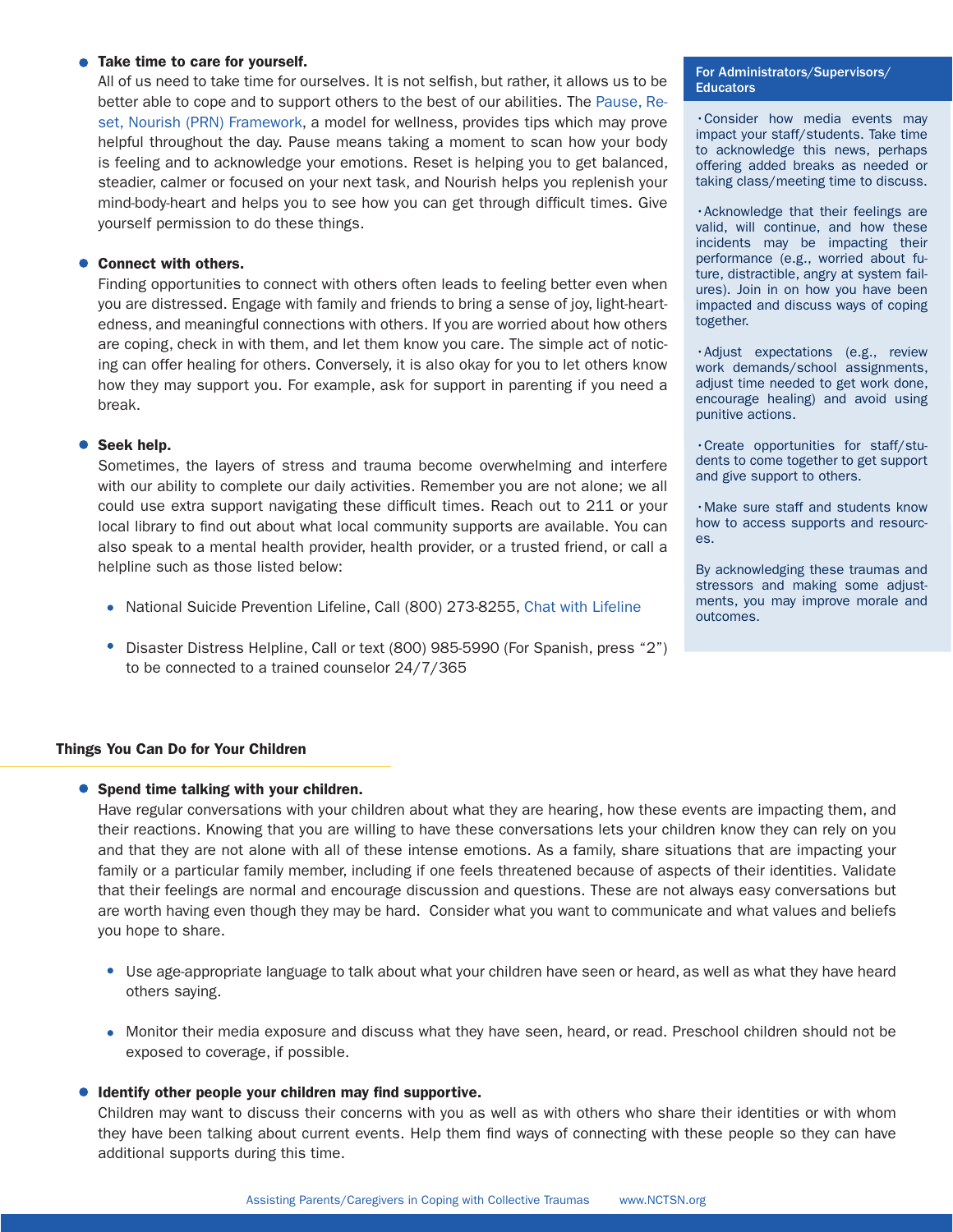### • Take time to care for yourself.

All of us need to take time for ourselves. It is not selfish, but rather, it allows us to be better able to cope and to support others to the best of our abilities. The [Pause, Re](https://www.nctsn.org/sites/default/files/resources/fact-sheet/wellbeing-and-wellness.pdf)[set, Nourish \(PRN\) Framework](https://www.nctsn.org/sites/default/files/resources/fact-sheet/wellbeing-and-wellness.pdf), a model for wellness, provides tips which may prove helpful throughout the day. Pause means taking a moment to scan how your body is feeling and to acknowledge your emotions. Reset is helping you to get balanced, steadier, calmer or focused on your next task, and Nourish helps you replenish your mind-body-heart and helps you to see how you can get through difficult times. Give yourself permission to do these things.

# ● Connect with others.

Finding opportunities to connect with others often leads to feeling better even when you are distressed. Engage with family and friends to bring a sense of joy, light-heartedness, and meaningful connections with others. If you are worried about how others are coping, check in with them, and let them know you care. The simple act of noticing can offer healing for others. Conversely, it is also okay for you to let others know how they may support you. For example, ask for support in parenting if you need a break.

# ● Seek help.

Sometimes, the layers of stress and trauma become overwhelming and interfere with our ability to complete our daily activities. Remember you are not alone; we all could use extra support navigating these difficult times. Reach out to 211 or your local library to find out about what local community supports are available. You can also speak to a mental health provider, health provider, or a trusted friend, or call a helpline such as those listed below:

- National Suicide Prevention Lifeline, Call (800) 273-8255, [Chat with Lifeline](https://suicidepreventionlifeline.org/chat/)
- Disaster Distress Helpline, Call or text (800) 985-5990 (For Spanish, press "2") to be connected to a trained counselor 24/7/365

### Things You Can Do for Your Children

### ● Spend time talking with your children.

Have regular conversations with your children about what they are hearing, how these events are impacting them, and their reactions. Knowing that you are willing to have these conversations lets your children know they can rely on you and that they are not alone with all of these intense emotions. As a family, share situations that are impacting your family or a particular family member, including if one feels threatened because of aspects of their identities. Validate that their feelings are normal and encourage discussion and questions. These are not always easy conversations but are worth having even though they may be hard. Consider what you want to communicate and what values and beliefs you hope to share.

- Use age-appropriate language to talk about what your children have seen or heard, as well as what they have heard others saying.
- Monitor their media exposure and discuss what they have seen, heard, or read. Preschool children should not be exposed to coverage, if possible.

### **Identify other people your children may find supportive.**

Children may want to discuss their concerns with you as well as with others who share their identities or with whom they have been talking about current events. Help them find ways of connecting with these people so they can have additional supports during this time.

#### For Administrators/Supervisors/ **Educators**

•Consider how media events may impact your staff/students. Take time to acknowledge this news, perhaps offering added breaks as needed or taking class/meeting time to discuss.

•Acknowledge that their feelings are valid, will continue, and how these incidents may be impacting their performance (e.g., worried about future, distractible, angry at system failures). Join in on how you have been impacted and discuss ways of coping together.

•Adjust expectations (e.g., review work demands/school assignments, adjust time needed to get work done, encourage healing) and avoid using punitive actions.

•Create opportunities for staff/students to come together to get support and give support to others.

•Make sure staff and students know how to access supports and resources.

By acknowledging these traumas and stressors and making some adjustments, you may improve morale and outcomes.